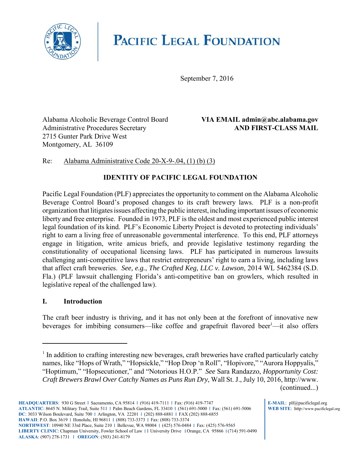

# **PACIFIC LEGAL FOUNDATION**

September 7, 2016

Alabama Alcoholic Beverage Control Board **VIA EMAIL admin@abc.alabama.gov** Administrative Procedures Secretary **AND FIRST-CLASS MAIL** 2715 Gunter Park Drive West Montgomery, AL 36109

### Re: Alabama Administrative Code 20-X-9-.04, (1) (b) (3)

## **IDENTITY OF PACIFIC LEGAL FOUNDATION**

Pacific Legal Foundation (PLF) appreciates the opportunity to comment on the Alabama Alcoholic Beverage Control Board's proposed changes to its craft brewery laws. PLF is a non-profit organization that litigates issues affecting the public interest, including important issues of economic liberty and free enterprise. Founded in 1973, PLF is the oldest and most experienced public interest legal foundation of its kind. PLF's Economic Liberty Project is devoted to protecting individuals' right to earn a living free of unreasonable governmental interference. To this end, PLF attorneys engage in litigation, write amicus briefs, and provide legislative testimony regarding the constitutionality of occupational licensing laws. PLF has participated in numerous lawsuits challenging anti-competitive laws that restrict entrepreneurs' right to earn a living, including laws that affect craft breweries. *See, e.g.*, *The Crafted Keg, LLC v. Lawson*, 2014 WL 5462384 (S.D. Fla.) (PLF lawsuit challenging Florida's anti-competitive ban on growlers, which resulted in legislative repeal of the challenged law).

#### **I. Introduction**

The craft beer industry is thriving, and it has not only been at the forefront of innovative new beverages for imbibing consumers—like coffee and grapefruit flavored beer<sup>1</sup>—it also offers

**E-MAIL**: plf@pacificlegal.org **WEB SITE**: http://www.pacificlegal.org

<sup>&</sup>lt;sup>1</sup> In addition to crafting interesting new beverages, craft breweries have crafted particularly catchy names, like "Hops of Wrath," "Hopsickle," "Hop Drop 'n Roll", "Hopivore," "Aurora Hoppyalis," "Hoptimum," "Hopsecutioner," and "Notorious H.O.P." *See* Sara Randazzo, *Hopportunity Cost: Craft Brewers Brawl Over Catchy Names as Puns Run Dry*, Wall St. J., July 10, 2016, http://www. (continued...)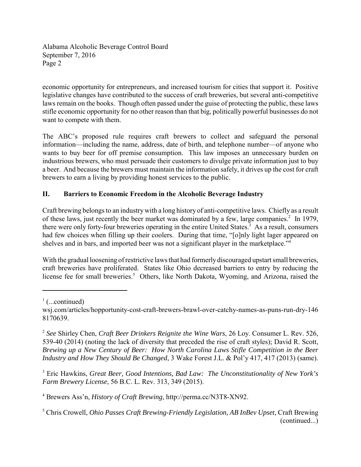economic opportunity for entrepreneurs, and increased tourism for cities that support it. Positive legislative changes have contributed to the success of craft breweries, but several anti-competitive laws remain on the books. Though often passed under the guise of protecting the public, these laws stifle economic opportunity for no other reason than that big, politically powerful businesses do not want to compete with them.

The ABC's proposed rule requires craft brewers to collect and safeguard the personal information—including the name, address, date of birth, and telephone number—of anyone who wants to buy beer for off premise consumption. This law imposes an unnecessary burden on industrious brewers, who must persuade their customers to divulge private information just to buy a beer. And because the brewers must maintain the information safely, it drives up the cost for craft brewers to earn a living by providing honest services to the public.

### **II. Barriers to Economic Freedom in the Alcoholic Beverage Industry**

Craft brewing belongs to an industry with a long history of anti-competitive laws. Chiefly as a result of these laws, just recently the beer market was dominated by a few, large companies.<sup>2</sup> In 1979, there were only forty-four breweries operating in the entire United States.<sup>3</sup> As a result, consumers had few choices when filling up their coolers. During that time, "[o]nly light lager appeared on shelves and in bars, and imported beer was not a significant player in the marketplace."<sup>4</sup>

With the gradual loosening of restrictive laws that had formerly discouraged upstart small breweries, craft breweries have proliferated. States like Ohio decreased barriers to entry by reducing the license fee for small breweries.<sup>5</sup> Others, like North Dakota, Wyoming, and Arizona, raised the

3 Eric Hawkins, *Great Beer, Good Intentions, Bad Law: The Unconstitutionality of New York's Farm Brewery License*, 56 B.C. L. Rev. 313, 349 (2015).

 $\frac{1}{1}$  (...continued)

wsj.com/articles/hopportunity-cost-craft-brewers-brawl-over-catchy-names-as-puns-run-dry-146 8170639.

<sup>2</sup> *See* Shirley Chen, *Craft Beer Drinkers Reignite the Wine Wars*, 26 Loy. Consumer L. Rev. 526, 539-40 (2014) (noting the lack of diversity that preceded the rise of craft styles); David R. Scott, *Brewing up a New Century of Beer: How North Carolina Laws Stifle Competition in the Beer Industry and How They Should Be Changed*, 3 Wake Forest J.L. & Pol'y 417, 417 (2013) (same).

<sup>4</sup> Brewers Ass'n, *History of Craft Brewing*, http://perma.cc/N3T8-XN92.

<sup>5</sup> Chris Crowell, *Ohio Passes Craft Brewing-Friendly Legislation, AB InBev Upset*, Craft Brewing (continued...)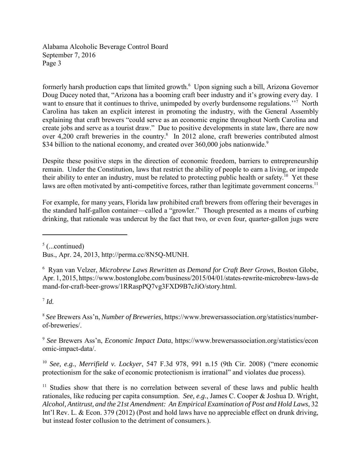formerly harsh production caps that limited growth.<sup>6</sup> Upon signing such a bill, Arizona Governor Doug Ducey noted that, "Arizona has a booming craft beer industry and it's growing every day. I want to ensure that it continues to thrive, unimpeded by overly burdensome regulations."<sup>7</sup> North Carolina has taken an explicit interest in promoting the industry, with the General Assembly explaining that craft brewers "could serve as an economic engine throughout North Carolina and create jobs and serve as a tourist draw." Due to positive developments in state law, there are now over 4,200 craft breweries in the country. $8$  In 2012 alone, craft breweries contributed almost \$34 billion to the national economy, and created over 360,000 jobs nationwide.<sup>9</sup>

Despite these positive steps in the direction of economic freedom, barriers to entrepreneurship remain. Under the Constitution, laws that restrict the ability of people to earn a living, or impede their ability to enter an industry, must be related to protecting public health or safety.<sup>10</sup> Yet these laws are often motivated by anti-competitive forces, rather than legitimate government concerns.<sup>11</sup>

For example, for many years, Florida law prohibited craft brewers from offering their beverages in the standard half-gallon container—called a "growler." Though presented as a means of curbing drinking, that rationale was undercut by the fact that two, or even four, quarter-gallon jugs were

 $<sup>5</sup>$  (...continued)</sup>

 $^7$  *Id.* 

<sup>8</sup> *See* Brewers Ass'n, *Number of Breweries*, https://www.brewersassociation.org/statistics/numberof-breweries/.

<sup>9</sup> *See* Brewers Ass'n, *Economic Impact Data*, https://www.brewersassociation.org/statistics/econ omic-impact-data/.

<sup>10</sup> *See, e.g.*, *Merrifield v. Lockyer*, 547 F.3d 978, 991 n.15 (9th Cir. 2008) ("mere economic protectionism for the sake of economic protectionism is irrational" and violates due process).

<sup>11</sup> Studies show that there is no correlation between several of these laws and public health rationales, like reducing per capita consumption. *See, e.g.*, James C. Cooper & Joshua D. Wright, *Alcohol, Antitrust, and the 21st Amendment: An Empirical Examination of Post and Hold Laws*, 32 Int'l Rev. L. & Econ. 379 (2012) (Post and hold laws have no appreciable effect on drunk driving, but instead foster collusion to the detriment of consumers.).

Bus., Apr. 24, 2013, http://perma.cc/8N5Q-MUNH.

<sup>6</sup> Ryan van Velzer, *Microbrew Laws Rewritten as Demand for Craft Beer Grows*, Boston Globe, Apr. 1, 2015, https://www.bostonglobe.com/business/2015/04/01/states-rewrite-microbrew-laws-de mand-for-craft-beer-grows/1RRaspPQ7vg3FXD9B7cJiO/story.html.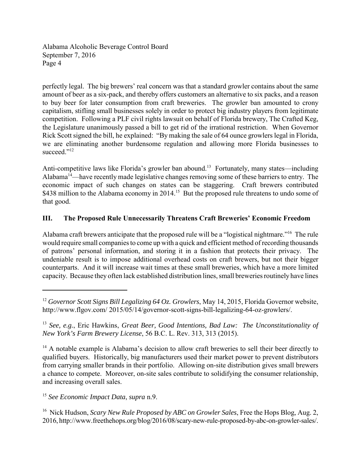perfectly legal. The big brewers' real concern was that a standard growler contains about the same amount of beer as a six-pack, and thereby offers customers an alternative to six packs, and a reason to buy beer for later consumption from craft breweries. The growler ban amounted to crony capitalism, stifling small businesses solely in order to protect big industry players from legitimate competition. Following a PLF civil rights lawsuit on behalf of Florida brewery, The Crafted Keg, the Legislature unanimously passed a bill to get rid of the irrational restriction. When Governor Rick Scott signed the bill, he explained: "By making the sale of 64 ounce growlers legal in Florida, we are eliminating another burdensome regulation and allowing more Florida businesses to succeed."<sup>12</sup>

Anti-competitive laws like Florida's growler ban abound.<sup>13</sup> Fortunately, many states—including Alabama<sup>14</sup>—have recently made legislative changes removing some of these barriers to entry. The economic impact of such changes on states can be staggering. Craft brewers contributed \$438 million to the Alabama economy in 2014.<sup>15</sup> But the proposed rule threatens to undo some of that good.

### **III. The Proposed Rule Unnecessarily Threatens Craft Breweries' Economic Freedom**

Alabama craft brewers anticipate that the proposed rule will be a "logistical nightmare."16 The rule would require small companies to come up with a quick and efficient method of recording thousands of patrons' personal information, and storing it in a fashion that protects their privacy. The undeniable result is to impose additional overhead costs on craft brewers, but not their bigger counterparts. And it will increase wait times at these small breweries, which have a more limited capacity. Because they often lack established distribution lines, small breweries routinely have lines

<sup>15</sup> *See Economic Impact Data*, *supra* n.9.

<sup>&</sup>lt;sup>12</sup> Governor Scott Signs Bill Legalizing 64 Oz. Growlers, May 14, 2015, Florida Governor website, http://www.flgov.com/ 2015/05/14/governor-scott-signs-bill-legalizing-64-oz-growlers/.

<sup>13</sup> *See, e.g.*, Eric Hawkins, *Great Beer, Good Intentions, Bad Law: The Unconstitutionality of New York's Farm Brewery License*, 56 B.C. L. Rev. 313, 313 (2015).

<sup>&</sup>lt;sup>14</sup> A notable example is Alabama's decision to allow craft breweries to sell their beer directly to qualified buyers. Historically, big manufacturers used their market power to prevent distributors from carrying smaller brands in their portfolio. Allowing on-site distribution gives small brewers a chance to compete. Moreover, on-site sales contribute to solidifying the consumer relationship, and increasing overall sales.

<sup>16</sup> Nick Hudson, *Scary New Rule Proposed by ABC on Growler Sales*, Free the Hops Blog, Aug. 2, 2016, http://www.freethehops.org/blog/2016/08/scary-new-rule-proposed-by-abc-on-growler-sales/.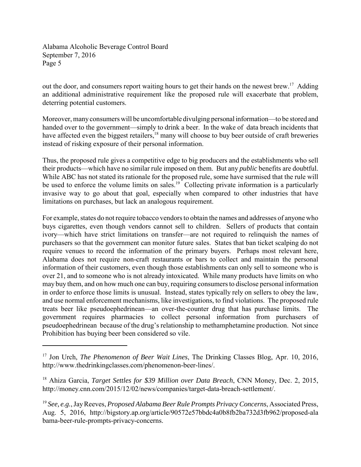out the door, and consumers report waiting hours to get their hands on the newest brew.<sup>17</sup> Adding an additional administrative requirement like the proposed rule will exacerbate that problem, deterring potential customers.

Moreover, many consumers will be uncomfortable divulging personal information—to be stored and handed over to the government—simply to drink a beer. In the wake of data breach incidents that have affected even the biggest retailers,<sup>18</sup> many will choose to buy beer outside of craft breweries instead of risking exposure of their personal information.

Thus, the proposed rule gives a competitive edge to big producers and the establishments who sell their products—which have no similar rule imposed on them. But any *public* benefits are doubtful. While ABC has not stated its rationale for the proposed rule, some have surmised that the rule will be used to enforce the volume limits on sales.<sup>19</sup> Collecting private information is a particularly invasive way to go about that goal, especially when compared to other industries that have limitations on purchases, but lack an analogous requirement.

For example, states do not require tobacco vendors to obtain the names and addresses of anyone who buys cigarettes, even though vendors cannot sell to children. Sellers of products that contain ivory—which have strict limitations on transfer—are not required to relinquish the names of purchasers so that the government can monitor future sales. States that ban ticket scalping do not require venues to record the information of the primary buyers. Perhaps most relevant here, Alabama does not require non-craft restaurants or bars to collect and maintain the personal information of their customers, even though those establishments can only sell to someone who is over 21, and to someone who is not already intoxicated. While many products have limits on who may buy them, and on how much one can buy, requiring consumers to disclose personal information in order to enforce those limits is unusual. Instead, states typically rely on sellers to obey the law, and use normal enforcement mechanisms, like investigations, to find violations. The proposed rule treats beer like pseudoephedrinean—an over-the-counter drug that has purchase limits. The government requires pharmacies to collect personal information from purchasers of pseudoephedrinean because of the drug's relationship to methamphetamine production. Not since Prohibition has buying beer been considered so vile.

<sup>&</sup>lt;sup>17</sup> Jon Urch, *The Phenomenon of Beer Wait Lines*, The Drinking Classes Blog, Apr. 10, 2016, http://www.thedrinkingclasses.com/phenomenon-beer-lines/.

<sup>18</sup> Ahiza Garcia, *Target Settles for \$39 Million over Data Breach*, CNN Money, Dec. 2, 2015, http://money.cnn.com/2015/12/02/news/companies/target-data-breach-settlement/.

<sup>19</sup> *See, e.g.*, Jay Reeves, *Proposed Alabama Beer Rule Prompts Privacy Concerns*, Associated Press, Aug. 5, 2016, http://bigstory.ap.org/article/90572e57bbdc4a0b8fb2ba732d3fb962/proposed-ala bama-beer-rule-prompts-privacy-concerns.